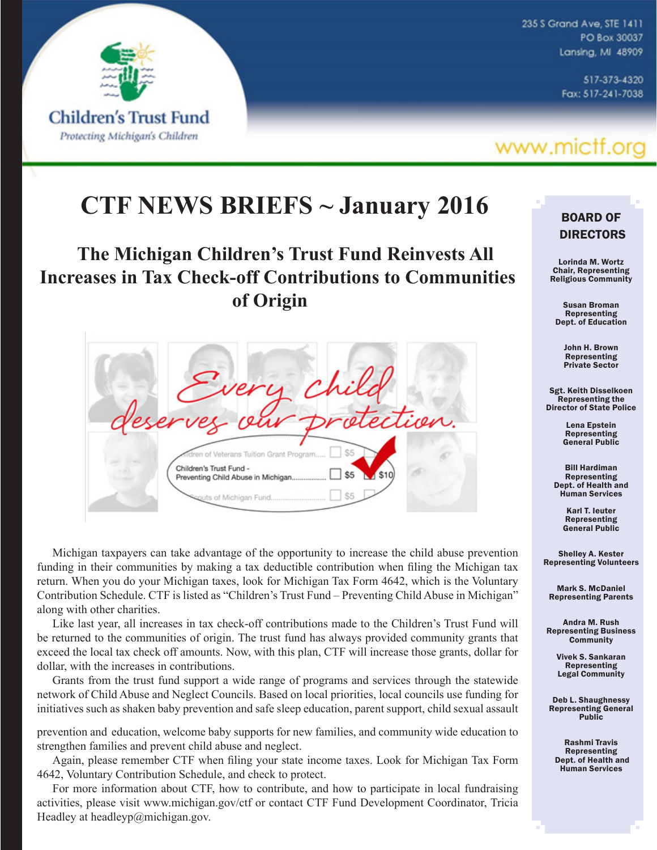

235 S Grand Ave, STE 1411 PO Box 30037 Lansing, MI 48909

> 517-373-4320 Fax: 517-241-7038

## www.mictf.org

## **CTF NEWS BRIEFS ~ January 2016**

## **The Michigan Children's Trust Fund Reinvests All Increases in Tax Check-off Contributions to Communities of Origin**

dren of Veterans Tuition Grant Program Children's Trust Fund -\$5 Preventing Child Abuse in Michigan \$5 its of Michigan Fund.

Michigan taxpayers can take advantage of the opportunity to increase the child abuse prevention funding in their communities by making a tax deductible contribution when filing the Michigan tax return. When you do your Michigan taxes, look for Michigan Tax Form 4642, which is the Voluntary Contribution Schedule. CTF is listed as "Children's Trust Fund – Preventing Child Abuse in Michigan" along with other charities.

Like last year, all increases in tax check-off contributions made to the Children's Trust Fund will be returned to the communities of origin. The trust fund has always provided community grants that exceed the local tax check off amounts. Now, with this plan, CTF will increase those grants, dollar for dollar, with the increases in contributions.

Grants from the trust fund support a wide range of programs and services through the statewide network of Child Abuse and Neglect Councils. Based on local priorities, local councils use funding for initiatives such as shaken baby prevention and safe sleep education, parent support, child sexual assault

prevention and education, welcome baby supports for new families, and community wide education to strengthen families and prevent child abuse and neglect.

Again, please remember CTF when filing your state income taxes. Look for Michigan Tax Form 4642, Voluntary Contribution Schedule, and check to protect.

For more information about CTF, how to contribute, and how to participate in local fundraising activities, please visit www.michigan.gov/ctf or contact CTF Fund Development Coordinator, Tricia Headley at headleyp@michigan.gov.

### BOARD OF DIRECTORS

Lorinda M. Wortz Chair, Representing Religious Community

Susan Broman Representing Dept. of Education

> John H. Brown Representing Private Sector

Sgt. Keith Disselkoen Representing the Director of State Police

> Lena Epstein Representing General Public

Bill Hardiman Representing Dept. of Health and Human Services

> Karl T. Ieuter Representing General Public

Shelley A. Kester Representing Volunteers

Mark S. McDaniel Representing Parents

Andra M. Rush Representing Business **Community** 

> Vivek S. Sankaran Representing Legal Community

Deb L. Shaughnessy Representing General Public

Rashmi Travis Representing Dept. of Health and Human Services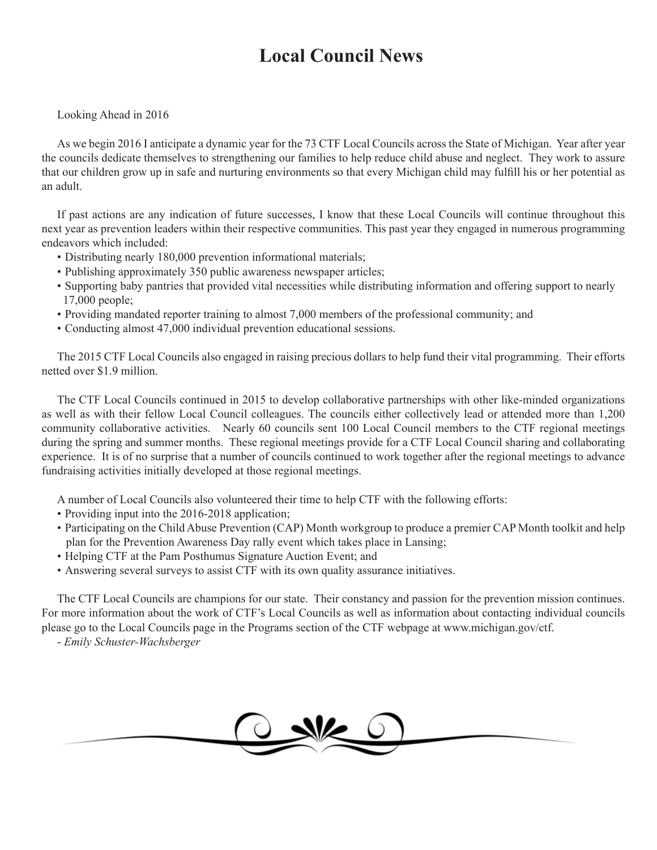## **Local Council News**

Looking Ahead in 2016

As we begin 2016 I anticipate a dynamic year for the 73 CTF Local Councils across the State of Michigan. Year after year the councils dedicate themselves to strengthening our families to help reduce child abuse and neglect. They work to assure that our children grow up in safe and nurturing environments so that every Michigan child may fulfill his or her potential as an adult.

If past actions are any indication of future successes, I know that these Local Councils will continue throughout this next year as prevention leaders within their respective communities. This past year they engaged in numerous programming endeavors which included:

- Distributing nearly 180,000 prevention informational materials;
- Publishing approximately 350 public awareness newspaper articles;
- Supporting baby pantries that provided vital necessities while distributing information and offering support to nearly 17,000 people;
- Providing mandated reporter training to almost 7,000 members of the professional community; and
- Conducting almost 47,000 individual prevention educational sessions.

The 2015 CTF Local Councils also engaged in raising precious dollars to help fund their vital programming. Their efforts netted over \$1.9 million.

The CTF Local Councils continued in 2015 to develop collaborative partnerships with other like-minded organizations as well as with their fellow Local Council colleagues. The councils either collectively lead or attended more than 1,200 community collaborative activities. Nearly 60 councils sent 100 Local Council members to the CTF regional meetings during the spring and summer months. These regional meetings provide for a CTF Local Council sharing and collaborating experience. It is of no surprise that a number of councils continued to work together after the regional meetings to advance fundraising activities initially developed at those regional meetings.

A number of Local Councils also volunteered their time to help CTF with the following efforts:

- Providing input into the 2016-2018 application;
- Participating on the Child Abuse Prevention (CAP) Month workgroup to produce a premier CAP Month toolkit and help plan for the Prevention Awareness Day rally event which takes place in Lansing;
- Helping CTF at the Pam Posthumus Signature Auction Event; and
- Answering several surveys to assist CTF with its own quality assurance initiatives.

The CTF Local Councils are champions for our state. Their constancy and passion for the prevention mission continues. For more information about the work of CTF's Local Councils as well as information about contacting individual councils please go to the Local Councils page in the Programs section of the CTF webpage at www.michigan.gov/ctf.

- *Emily Schuster-Wachsberger*

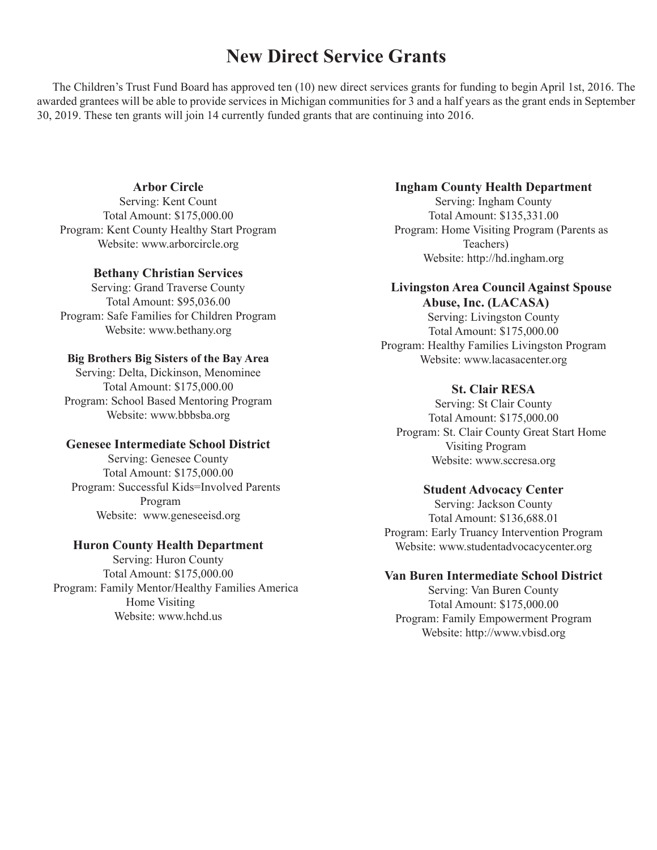## **New Direct Service Grants**

The Children's Trust Fund Board has approved ten (10) new direct services grants for funding to begin April 1st, 2016. The awarded grantees will be able to provide services in Michigan communities for 3 and a half years as the grant ends in September 30, 2019. These ten grants will join 14 currently funded grants that are continuing into 2016.

#### **Arbor Circle**

Serving: Kent Count Total Amount: \$175,000.00 Program: Kent County Healthy Start Program Website: www.arborcircle.org

#### **Bethany Christian Services**

Serving: Grand Traverse County Total Amount: \$95,036.00 Program: Safe Families for Children Program Website: www.bethany.org

#### **Big Brothers Big Sisters of the Bay Area**

Serving: Delta, Dickinson, Menominee Total Amount: \$175,000.00 Program: School Based Mentoring Program Website: www.bbbsba.org

#### **Genesee Intermediate School District**

Serving: Genesee County Total Amount: \$175,000.00 Program: Successful Kids=Involved Parents Program Website: www.geneseeisd.org

#### **Huron County Health Department**

Serving: Huron County Total Amount: \$175,000.00 Program: Family Mentor/Healthy Families America Home Visiting Website: www.hchd.us

#### **Ingham County Health Department**

Serving: Ingham County Total Amount: \$135,331.00 Program: Home Visiting Program (Parents as Teachers) Website: http://hd.ingham.org

#### **Livingston Area Council Against Spouse Abuse, Inc. (LACASA)**

Serving: Livingston County Total Amount: \$175,000.00 Program: Healthy Families Livingston Program Website: www.lacasacenter.org

#### **St. Clair RESA**

Serving: St Clair County Total Amount: \$175,000.00 Program: St. Clair County Great Start Home Visiting Program Website: www.sccresa.org

#### **Student Advocacy Center**

Serving: Jackson County Total Amount: \$136,688.01 Program: Early Truancy Intervention Program Website: www.studentadvocacycenter.org

#### **Van Buren Intermediate School District**

Serving: Van Buren County Total Amount: \$175,000.00 Program: Family Empowerment Program Website: [http://www.vbisd.org](http://www.vbisd.org/site/default.aspx?PageID=1)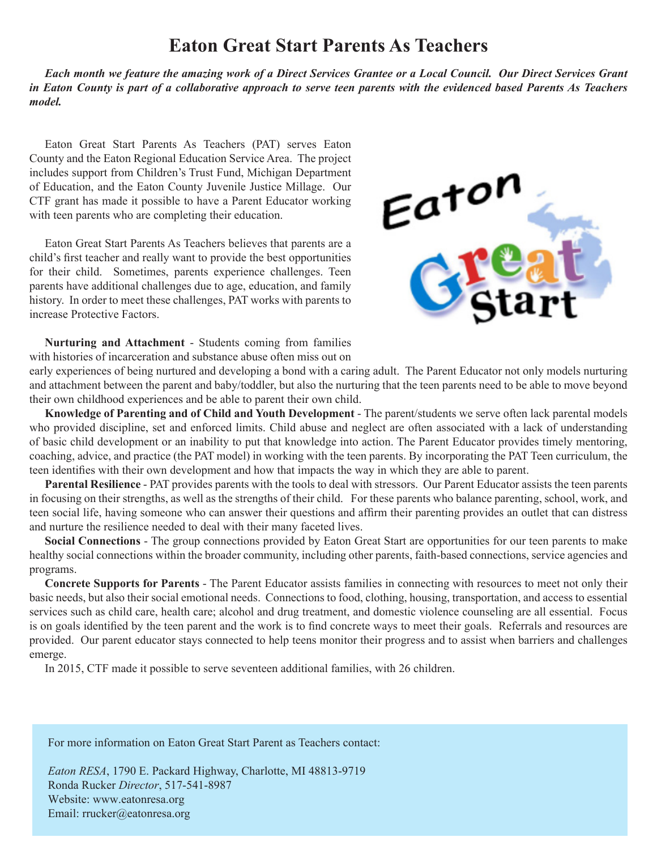## **Eaton Great Start Parents As Teachers**

*Each month we feature the amazing work of a Direct Services Grantee or a Local Council. Our Direct Services Grant in Eaton County is part of a collaborative approach to serve teen parents with the evidenced based Parents As Teachers model.*

Eaton Great Start Parents As Teachers (PAT) serves Eaton County and the Eaton Regional Education Service Area. The project includes support from Children's Trust Fund, Michigan Department of Education, and the Eaton County Juvenile Justice Millage. Our CTF grant has made it possible to have a Parent Educator working with teen parents who are completing their education.

Eaton Great Start Parents As Teachers believes that parents are a child's first teacher and really want to provide the best opportunities for their child. Sometimes, parents experience challenges. Teen parents have additional challenges due to age, education, and family history. In order to meet these challenges, PAT works with parents to increase Protective Factors.



**Nurturing and Attachment** - Students coming from families with histories of incarceration and substance abuse often miss out on

early experiences of being nurtured and developing a bond with a caring adult. The Parent Educator not only models nurturing and attachment between the parent and baby/toddler, but also the nurturing that the teen parents need to be able to move beyond their own childhood experiences and be able to parent their own child.

**Knowledge of Parenting and of Child and Youth Development** - The parent/students we serve often lack parental models who provided discipline, set and enforced limits. Child abuse and neglect are often associated with a lack of understanding of basic child development or an inability to put that knowledge into action. The Parent Educator provides timely mentoring, coaching, advice, and practice (the PAT model) in working with the teen parents. By incorporating the PAT Teen curriculum, the teen identifies with their own development and how that impacts the way in which they are able to parent.

**Parental Resilience** - PAT provides parents with the tools to deal with stressors. Our Parent Educator assists the teen parents in focusing on their strengths, as well as the strengths of their child. For these parents who balance parenting, school, work, and teen social life, having someone who can answer their questions and affirm their parenting provides an outlet that can distress and nurture the resilience needed to deal with their many faceted lives.

**Social Connections** - The group connections provided by Eaton Great Start are opportunities for our teen parents to make healthy social connections within the broader community, including other parents, faith-based connections, service agencies and programs.

**Concrete Supports for Parents** - The Parent Educator assists families in connecting with resources to meet not only their basic needs, but also their social emotional needs. Connections to food, clothing, housing, transportation, and access to essential services such as child care, health care; alcohol and drug treatment, and domestic violence counseling are all essential. Focus is on goals identified by the teen parent and the work is to find concrete ways to meet their goals. Referrals and resources are provided. Our parent educator stays connected to help teens monitor their progress and to assist when barriers and challenges emerge.

In 2015, CTF made it possible to serve seventeen additional families, with 26 children.

For more information on Eaton Great Start Parent as Teachers contact:

*Eaton RESA*, 1790 E. Packard Highway, Charlotte, MI 48813-9719 Ronda Rucker *Director*, 517-541-8987 Website: www.eatonresa.org Email: rrucker@eatonresa.org